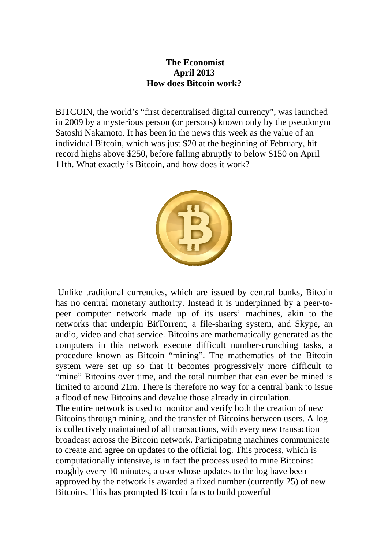## **The Economist April 2013 How does Bitcoin work?**

BITCOIN, the world's "first decentralised digital currency", was launched in 2009 by a mysterious person (or persons) known only by the pseudonym Satoshi Nakamoto. It has been in the news this week as the value of an individual Bitcoin, which was just \$20 at the beginning of February, hit record highs above \$250, before falling abruptly to below \$150 on April 11th. What exactly is Bitcoin, and how does it work?



 Unlike traditional currencies, which are issued by central banks, Bitcoin has no central monetary authority. Instead it is underpinned by a peer-topeer computer network made up of its users' machines, akin to the networks that underpin BitTorrent, a file-sharing system, and Skype, an audio, video and chat service. Bitcoins are mathematically generated as the computers in this network execute difficult number-crunching tasks, a procedure known as Bitcoin "mining". The mathematics of the Bitcoin system were set up so that it becomes progressively more difficult to "mine" Bitcoins over time, and the total number that can ever be mined is limited to around 21m. There is therefore no way for a central bank to issue a flood of new Bitcoins and devalue those already in circulation. The entire network is used to monitor and verify both the creation of new Bitcoins through mining, and the transfer of Bitcoins between users. A log is collectively maintained of all transactions, with every new transaction broadcast across the Bitcoin network. Participating machines communicate to create and agree on updates to the official log. This process, which is computationally intensive, is in fact the process used to mine Bitcoins:

roughly every 10 minutes, a user whose updates to the log have been approved by the network is awarded a fixed number (currently 25) of new Bitcoins. This has prompted Bitcoin fans to build powerful